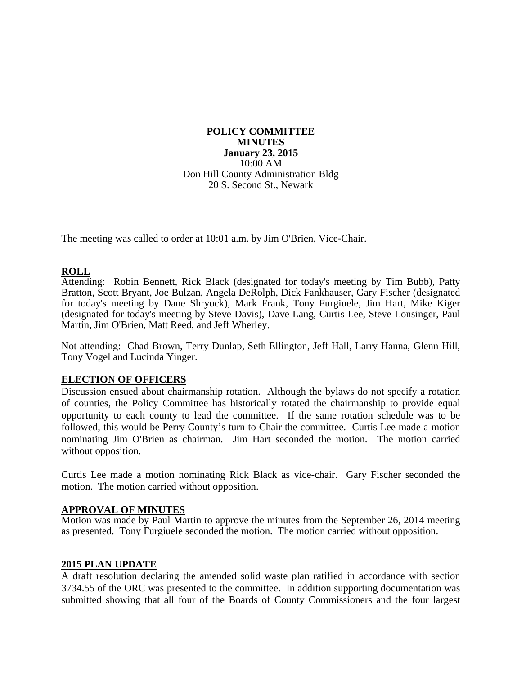**POLICY COMMITTEE MINUTES January 23, 2015**  10:00 AM Don Hill County Administration Bldg 20 S. Second St., Newark

The meeting was called to order at 10:01 a.m. by Jim O'Brien, Vice-Chair.

### **ROLL**

Attending: Robin Bennett, Rick Black (designated for today's meeting by Tim Bubb), Patty Bratton, Scott Bryant, Joe Bulzan, Angela DeRolph, Dick Fankhauser, Gary Fischer (designated for today's meeting by Dane Shryock), Mark Frank, Tony Furgiuele, Jim Hart, Mike Kiger (designated for today's meeting by Steve Davis), Dave Lang, Curtis Lee, Steve Lonsinger, Paul Martin, Jim O'Brien, Matt Reed, and Jeff Wherley.

Not attending: Chad Brown, Terry Dunlap, Seth Ellington, Jeff Hall, Larry Hanna, Glenn Hill, Tony Vogel and Lucinda Yinger.

## **ELECTION OF OFFICERS**

Discussion ensued about chairmanship rotation. Although the bylaws do not specify a rotation of counties, the Policy Committee has historically rotated the chairmanship to provide equal opportunity to each county to lead the committee. If the same rotation schedule was to be followed, this would be Perry County's turn to Chair the committee. Curtis Lee made a motion nominating Jim O'Brien as chairman. Jim Hart seconded the motion. The motion carried without opposition.

Curtis Lee made a motion nominating Rick Black as vice-chair. Gary Fischer seconded the motion. The motion carried without opposition.

## **APPROVAL OF MINUTES**

Motion was made by Paul Martin to approve the minutes from the September 26, 2014 meeting as presented. Tony Furgiuele seconded the motion. The motion carried without opposition.

#### **2015 PLAN UPDATE**

A draft resolution declaring the amended solid waste plan ratified in accordance with section 3734.55 of the ORC was presented to the committee. In addition supporting documentation was submitted showing that all four of the Boards of County Commissioners and the four largest